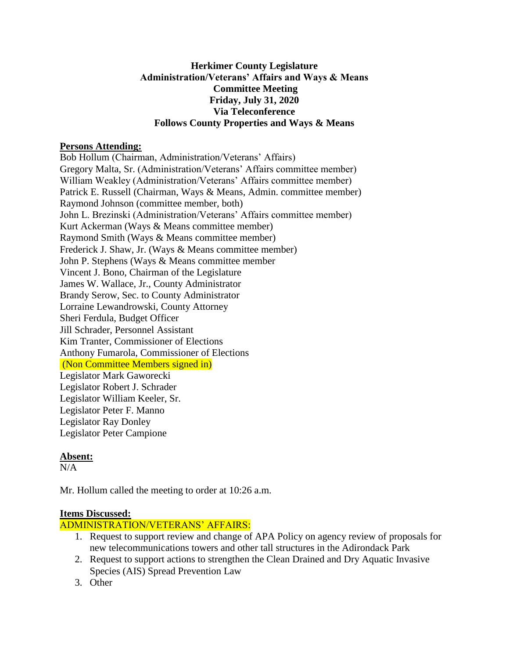### **Herkimer County Legislature Administration/Veterans' Affairs and Ways & Means Committee Meeting Friday, July 31, 2020 Via Teleconference Follows County Properties and Ways & Means**

### **Persons Attending:**

Bob Hollum (Chairman, Administration/Veterans' Affairs) Gregory Malta, Sr. (Administration/Veterans' Affairs committee member) William Weakley (Administration/Veterans' Affairs committee member) Patrick E. Russell (Chairman, Ways & Means, Admin. committee member) Raymond Johnson (committee member, both) John L. Brezinski (Administration/Veterans' Affairs committee member) Kurt Ackerman (Ways & Means committee member) Raymond Smith (Ways & Means committee member) Frederick J. Shaw, Jr. (Ways & Means committee member) John P. Stephens (Ways & Means committee member Vincent J. Bono, Chairman of the Legislature James W. Wallace, Jr., County Administrator Brandy Serow, Sec. to County Administrator Lorraine Lewandrowski, County Attorney Sheri Ferdula, Budget Officer Jill Schrader, Personnel Assistant Kim Tranter, Commissioner of Elections Anthony Fumarola, Commissioner of Elections (Non Committee Members signed in) Legislator Mark Gaworecki Legislator Robert J. Schrader Legislator William Keeler, Sr. Legislator Peter F. Manno Legislator Ray Donley Legislator Peter Campione

# **Absent:**

 $N/A$ 

Mr. Hollum called the meeting to order at 10:26 a.m.

# **Items Discussed:**

# ADMINISTRATION/VETERANS' AFFAIRS:

- 1. Request to support review and change of APA Policy on agency review of proposals for new telecommunications towers and other tall structures in the Adirondack Park
- 2. Request to support actions to strengthen the Clean Drained and Dry Aquatic Invasive Species (AIS) Spread Prevention Law
- 3. Other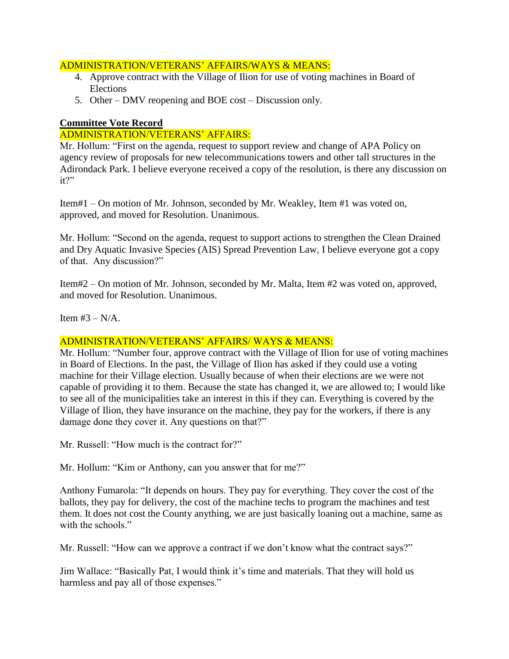#### ADMINISTRATION/VETERANS' AFFAIRS/WAYS & MEANS:

- 4. Approve contract with the Village of Ilion for use of voting machines in Board of Elections
- 5. Other DMV reopening and BOE cost Discussion only.

### **Committee Vote Record**

### ADMINISTRATION/VETERANS' AFFAIRS:

Mr. Hollum: "First on the agenda, request to support review and change of APA Policy on agency review of proposals for new telecommunications towers and other tall structures in the Adirondack Park. I believe everyone received a copy of the resolution, is there any discussion on it?"

Item#1 – On motion of Mr. Johnson, seconded by Mr. Weakley, Item #1 was voted on, approved, and moved for Resolution. Unanimous.

Mr. Hollum: "Second on the agenda, request to support actions to strengthen the Clean Drained and Dry Aquatic Invasive Species (AIS) Spread Prevention Law, I believe everyone got a copy of that. Any discussion?"

Item#2 – On motion of Mr. Johnson, seconded by Mr. Malta, Item #2 was voted on, approved, and moved for Resolution. Unanimous.

Item  $#3 - N/A$ .

# ADMINISTRATION/VETERANS' AFFAIRS/ WAYS & MEANS:

Mr. Hollum: "Number four, approve contract with the Village of Ilion for use of voting machines in Board of Elections. In the past, the Village of Ilion has asked if they could use a voting machine for their Village election. Usually because of when their elections are we were not capable of providing it to them. Because the state has changed it, we are allowed to; I would like to see all of the municipalities take an interest in this if they can. Everything is covered by the Village of Ilion, they have insurance on the machine, they pay for the workers, if there is any damage done they cover it. Any questions on that?"

Mr. Russell: "How much is the contract for?"

Mr. Hollum: "Kim or Anthony, can you answer that for me?"

Anthony Fumarola: "It depends on hours. They pay for everything. They cover the cost of the ballots, they pay for delivery, the cost of the machine techs to program the machines and test them. It does not cost the County anything, we are just basically loaning out a machine, same as with the schools."

Mr. Russell: "How can we approve a contract if we don't know what the contract says?"

Jim Wallace: "Basically Pat, I would think it's time and materials. That they will hold us harmless and pay all of those expenses."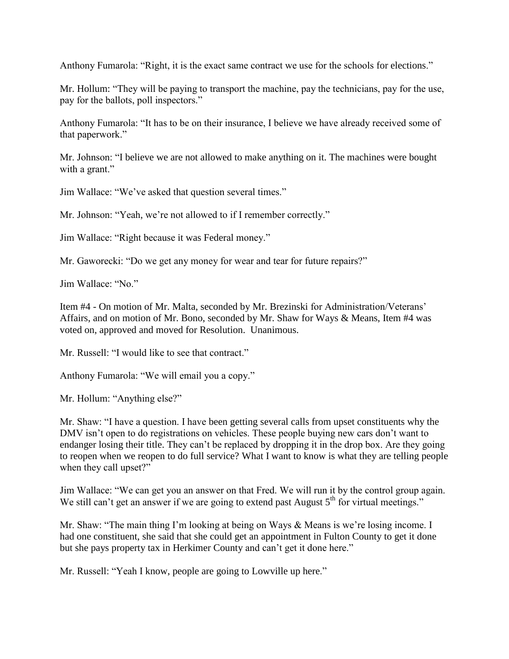Anthony Fumarola: "Right, it is the exact same contract we use for the schools for elections."

Mr. Hollum: "They will be paying to transport the machine, pay the technicians, pay for the use, pay for the ballots, poll inspectors."

Anthony Fumarola: "It has to be on their insurance, I believe we have already received some of that paperwork."

Mr. Johnson: "I believe we are not allowed to make anything on it. The machines were bought with a grant."

Jim Wallace: "We've asked that question several times."

Mr. Johnson: "Yeah, we're not allowed to if I remember correctly."

Jim Wallace: "Right because it was Federal money."

Mr. Gaworecki: "Do we get any money for wear and tear for future repairs?"

Jim Wallace: "No."

Item #4 - On motion of Mr. Malta, seconded by Mr. Brezinski for Administration/Veterans' Affairs, and on motion of Mr. Bono, seconded by Mr. Shaw for Ways & Means, Item #4 was voted on, approved and moved for Resolution. Unanimous.

Mr. Russell: "I would like to see that contract."

Anthony Fumarola: "We will email you a copy."

Mr. Hollum: "Anything else?"

Mr. Shaw: "I have a question. I have been getting several calls from upset constituents why the DMV isn't open to do registrations on vehicles. These people buying new cars don't want to endanger losing their title. They can't be replaced by dropping it in the drop box. Are they going to reopen when we reopen to do full service? What I want to know is what they are telling people when they call upset?"

Jim Wallace: "We can get you an answer on that Fred. We will run it by the control group again. We still can't get an answer if we are going to extend past August  $5<sup>th</sup>$  for virtual meetings."

Mr. Shaw: "The main thing I'm looking at being on Ways & Means is we're losing income. I had one constituent, she said that she could get an appointment in Fulton County to get it done but she pays property tax in Herkimer County and can't get it done here."

Mr. Russell: "Yeah I know, people are going to Lowville up here."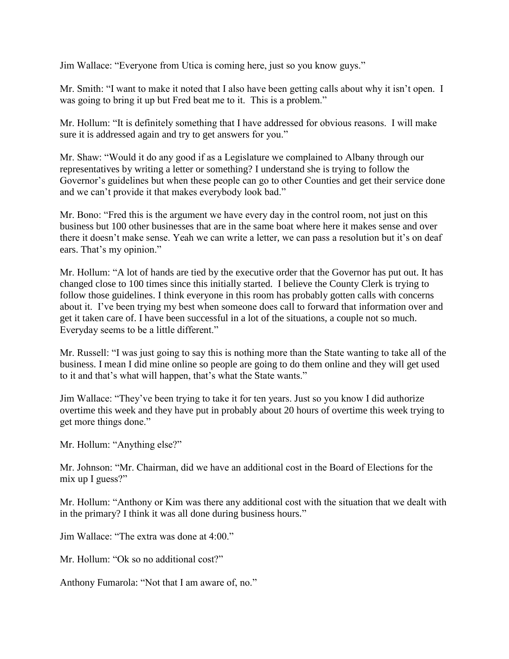Jim Wallace: "Everyone from Utica is coming here, just so you know guys."

Mr. Smith: "I want to make it noted that I also have been getting calls about why it isn't open. I was going to bring it up but Fred beat me to it. This is a problem."

Mr. Hollum: "It is definitely something that I have addressed for obvious reasons. I will make sure it is addressed again and try to get answers for you."

Mr. Shaw: "Would it do any good if as a Legislature we complained to Albany through our representatives by writing a letter or something? I understand she is trying to follow the Governor's guidelines but when these people can go to other Counties and get their service done and we can't provide it that makes everybody look bad."

Mr. Bono: "Fred this is the argument we have every day in the control room, not just on this business but 100 other businesses that are in the same boat where here it makes sense and over there it doesn't make sense. Yeah we can write a letter, we can pass a resolution but it's on deaf ears. That's my opinion."

Mr. Hollum: "A lot of hands are tied by the executive order that the Governor has put out. It has changed close to 100 times since this initially started. I believe the County Clerk is trying to follow those guidelines. I think everyone in this room has probably gotten calls with concerns about it. I've been trying my best when someone does call to forward that information over and get it taken care of. I have been successful in a lot of the situations, a couple not so much. Everyday seems to be a little different."

Mr. Russell: "I was just going to say this is nothing more than the State wanting to take all of the business. I mean I did mine online so people are going to do them online and they will get used to it and that's what will happen, that's what the State wants."

Jim Wallace: "They've been trying to take it for ten years. Just so you know I did authorize overtime this week and they have put in probably about 20 hours of overtime this week trying to get more things done."

Mr. Hollum: "Anything else?"

Mr. Johnson: "Mr. Chairman, did we have an additional cost in the Board of Elections for the mix up I guess?"

Mr. Hollum: "Anthony or Kim was there any additional cost with the situation that we dealt with in the primary? I think it was all done during business hours."

Jim Wallace: "The extra was done at 4:00."

Mr. Hollum: "Ok so no additional cost?"

Anthony Fumarola: "Not that I am aware of, no."